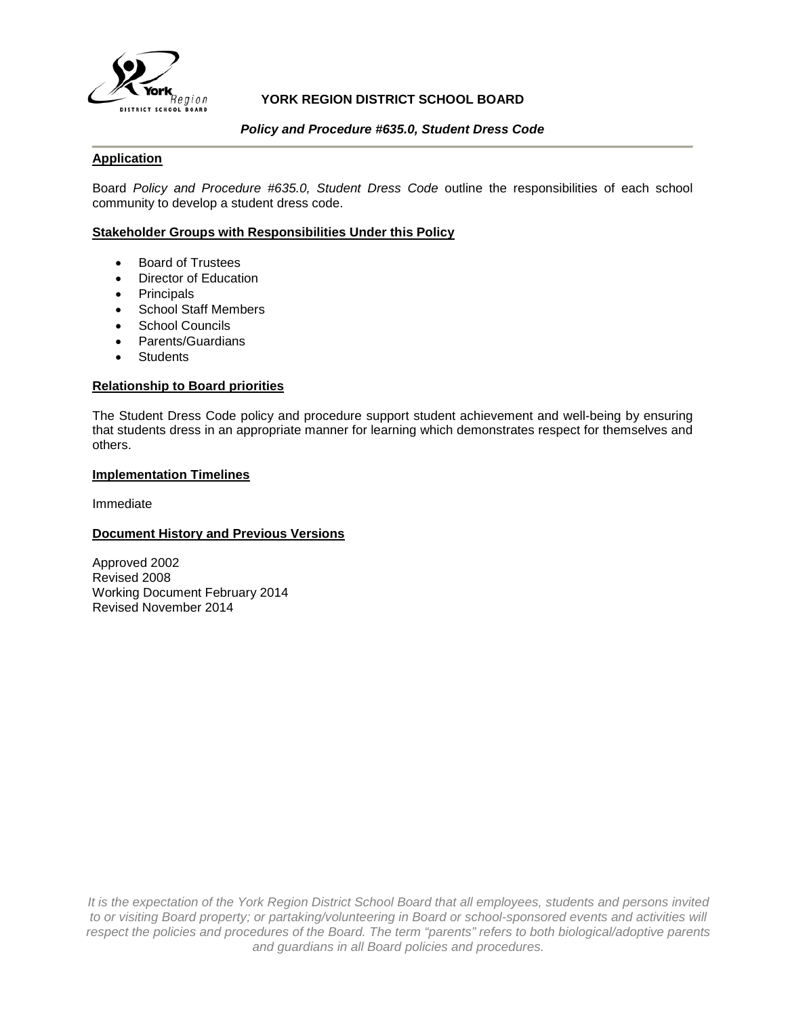

# **YORK REGION DISTRICT SCHOOL BOARD**

## *Policy and Procedure #635.0, Student Dress Code*

# **Application**

Board *Policy and Procedure #635.0, Student Dress Code* outline the responsibilities of each school community to develop a student dress code.

# **Stakeholder Groups with Responsibilities Under this Policy**

- Board of Trustees
- Director of Education
- Principals
- School Staff Members
- School Councils
- Parents/Guardians
- Students

## **Relationship to Board priorities**

The Student Dress Code policy and procedure support student achievement and well-being by ensuring that students dress in an appropriate manner for learning which demonstrates respect for themselves and others.

#### **Implementation Timelines**

Immediate

#### **Document History and Previous Versions**

Approved 2002 Revised 2008 Working Document February 2014 Revised November 2014

*It is the expectation of the York Region District School Board that all employees, students and persons invited to or visiting Board property; or partaking/volunteering in Board or school-sponsored events and activities will respect the policies and procedures of the Board. The term "parents" refers to both biological/adoptive parents and guardians in all Board policies and procedures.*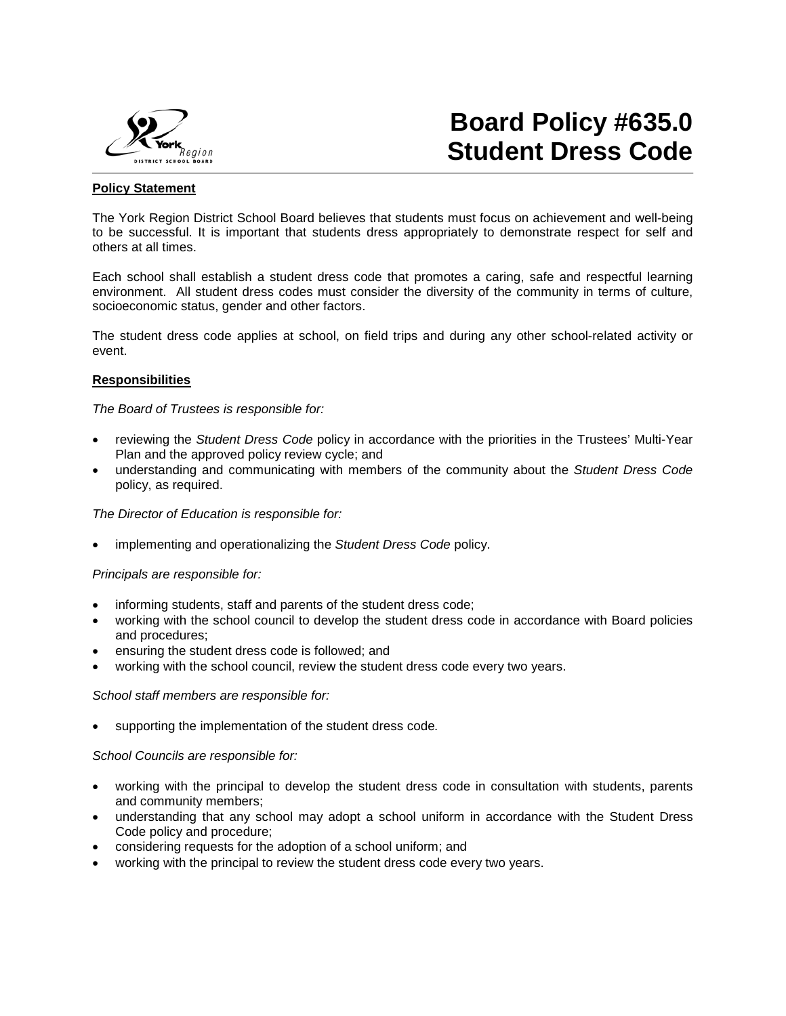

#### **Policy Statement**

The York Region District School Board believes that students must focus on achievement and well-being to be successful. It is important that students dress appropriately to demonstrate respect for self and others at all times.

Each school shall establish a student dress code that promotes a caring, safe and respectful learning environment. All student dress codes must consider the diversity of the community in terms of culture, socioeconomic status, gender and other factors.

The student dress code applies at school, on field trips and during any other school-related activity or event.

#### **Responsibilities**

*The Board of Trustees is responsible for:*

- reviewing the *Student Dress Code* policy in accordance with the priorities in the Trustees' Multi-Year Plan and the approved policy review cycle; and
- understanding and communicating with members of the community about the *Student Dress Code* policy, as required.

*The Director of Education is responsible for:*

• implementing and operationalizing the *Student Dress Code* policy.

*Principals are responsible for:*

- informing students, staff and parents of the student dress code;
- working with the school council to develop the student dress code in accordance with Board policies and procedures;
- ensuring the student dress code is followed; and
- working with the school council, review the student dress code every two years.

#### *School staff members are responsible for:*

• supporting the implementation of the student dress code*.*

#### *School Councils are responsible for:*

- working with the principal to develop the student dress code in consultation with students, parents and community members;
- understanding that any school may adopt a school uniform in accordance with the Student Dress Code policy and procedure;
- considering requests for the adoption of a school uniform; and
- working with the principal to review the student dress code every two years.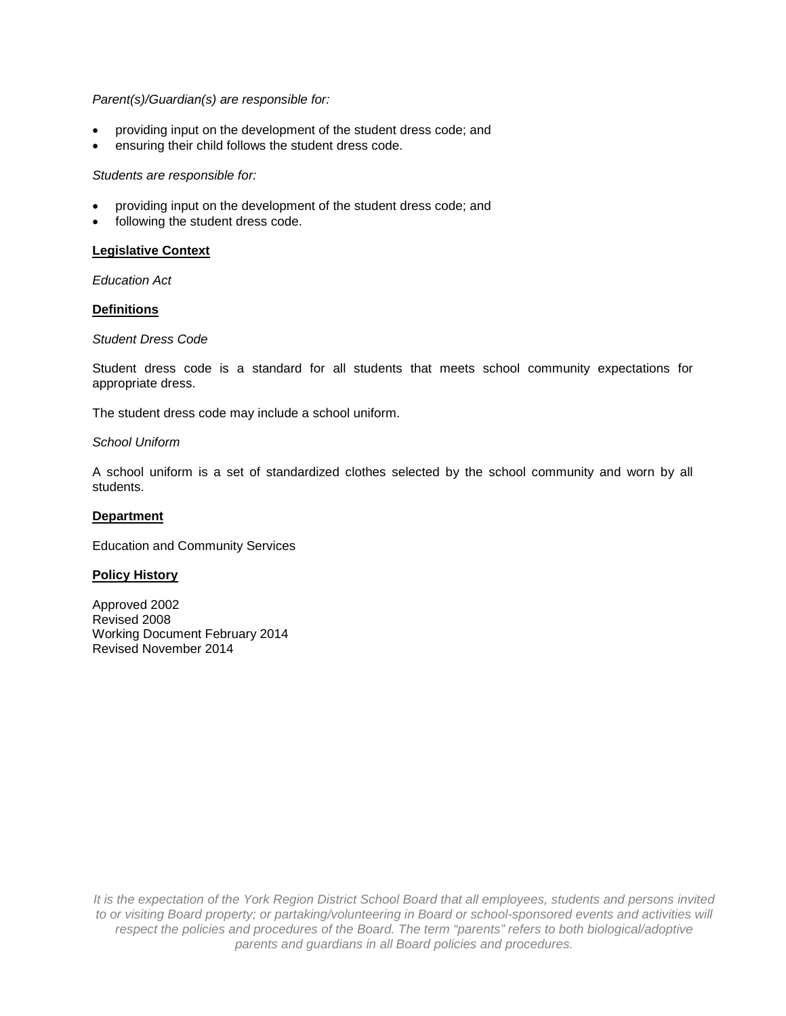#### *Parent(s)/Guardian(s) are responsible for:*

- providing input on the development of the student dress code; and
- ensuring their child follows the student dress code.

#### *Students are responsible for:*

- providing input on the development of the student dress code; and
- following the student dress code.

#### **Legislative Context**

*Education Act*

#### **Definitions**

#### *Student Dress Code*

Student dress code is a standard for all students that meets school community expectations for appropriate dress.

The student dress code may include a school uniform.

#### *School Uniform*

A school uniform is a set of standardized clothes selected by the school community and worn by all students.

#### **Department**

Education and Community Services

#### **Policy History**

Approved 2002 Revised 2008 Working Document February 2014 Revised November 2014

*It is the expectation of the York Region District School Board that all employees, students and persons invited to or visiting Board property; or partaking/volunteering in Board or school-sponsored events and activities will respect the policies and procedures of the Board. The term "parents" refers to both biological/adoptive parents and guardians in all Board policies and procedures.*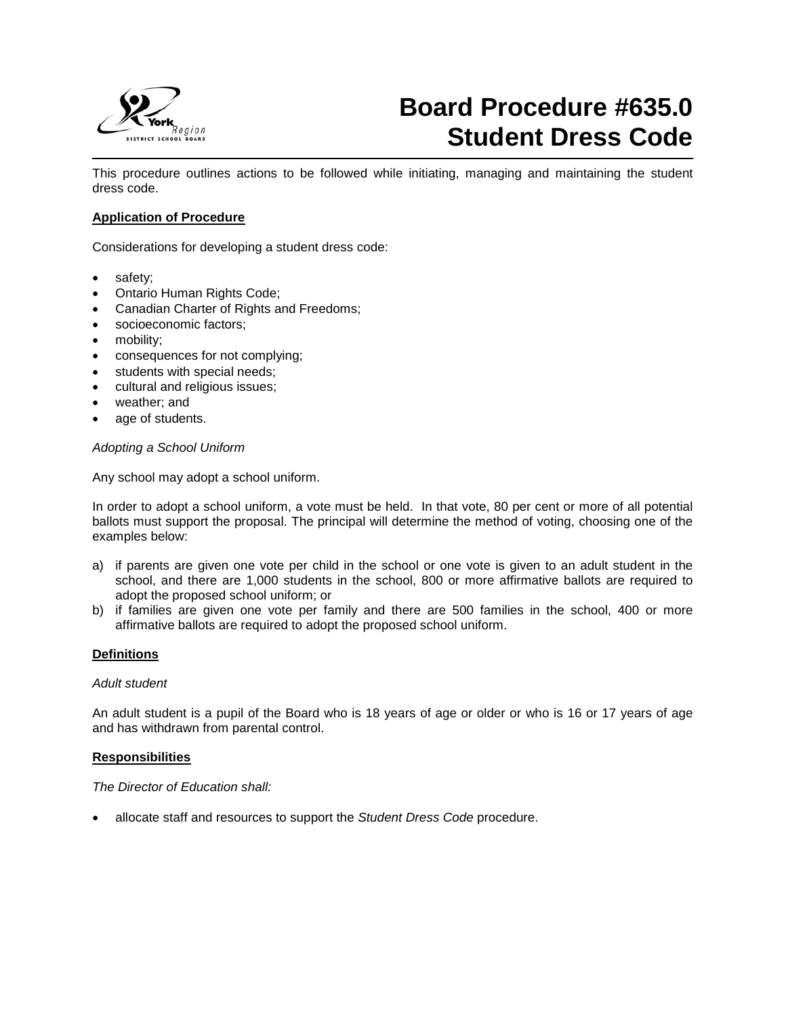

# **Board Procedure #635.0 Student Dress Code**

This procedure outlines actions to be followed while initiating, managing and maintaining the student dress code.

## **Application of Procedure**

Considerations for developing a student dress code:

- safety:
- Ontario Human Rights Code;
- Canadian Charter of Rights and Freedoms;
- socioeconomic factors;
- mobility;
- consequences for not complying;
- students with special needs;
- cultural and religious issues;
- weather; and
- age of students.

#### *Adopting a School Uniform*

Any school may adopt a school uniform.

In order to adopt a school uniform, a vote must be held. In that vote, 80 per cent or more of all potential ballots must support the proposal. The principal will determine the method of voting, choosing one of the examples below:

- a) if parents are given one vote per child in the school or one vote is given to an adult student in the school, and there are 1,000 students in the school, 800 or more affirmative ballots are required to adopt the proposed school uniform; or
- b) if families are given one vote per family and there are 500 families in the school, 400 or more affirmative ballots are required to adopt the proposed school uniform.

#### **Definitions**

#### *Adult student*

An adult student is a pupil of the Board who is 18 years of age or older or who is 16 or 17 years of age and has withdrawn from parental control.

#### **Responsibilities**

#### *The Director of Education shall:*

• allocate staff and resources to support the *Student Dress Code* procedure.